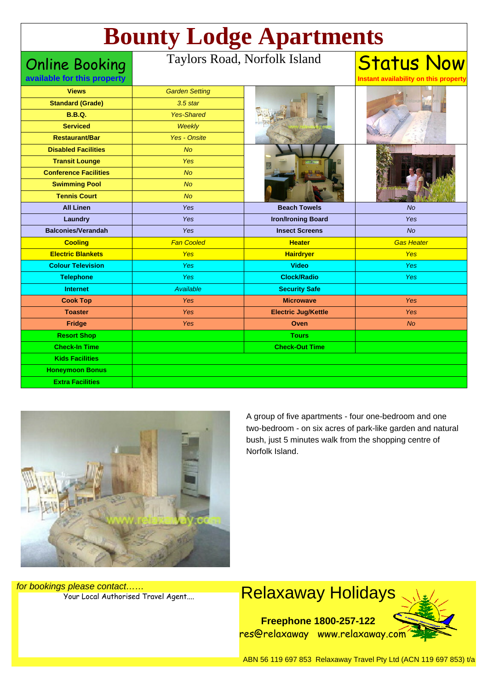# **Bounty Lodge Apartments**

Online Booking

#### Taylors Road, Norfolk Isla

| and | <b>Status Now</b> |  |
|-----|-------------------|--|
|-----|-------------------|--|

**Instant availability on this property** 

| <b>Views</b><br><b>Garden Setting</b><br>elaxaway, com<br><b>Standard (Grade)</b><br>$3.5$ star<br><b>B.B.Q.</b><br><b>Yes-Shared</b><br><b>Serviced</b><br>Weekly<br><b>Restaurant/Bar</b><br><b>Yes - Onsite</b><br><b>Disabled Facilities</b><br><b>No</b><br><b>Transit Lounge</b><br>Yes<br><b>Conference Facilities</b><br><b>No</b><br><b>Swimming Pool</b><br><b>No</b><br><b>Tennis Court</b><br><b>No</b><br><b>Beach Towels</b><br><b>All Linen</b><br>Yes<br><b>No</b><br>Laundry<br>Yes<br><b>Iron/Ironing Board</b><br>Yes<br><b>Balconies/Verandah</b><br><b>No</b><br>Yes<br><b>Insect Screens</b><br><b>Fan Cooled</b><br><b>Gas Heater</b><br><b>Cooling</b><br><b>Heater</b><br><b>Electric Blankets</b><br>Yes<br><b>Yes</b><br><b>Hairdryer</b><br><b>Colour Television</b><br><b>Yes</b><br><b>Video</b><br><b>Yes</b><br>Yes<br><b>Clock/Radio</b><br><b>Telephone</b><br><b>Yes</b><br><b>Internet</b><br>Available<br><b>Security Safe</b><br><b>Cook Top</b><br>Yes<br>Yes<br><b>Microwave</b><br><b>Toaster</b><br><b>Yes</b><br>Yes<br><b>Electric Jug/Kettle</b><br><b>Fridge</b><br>Yes<br>Oven<br><b>No</b><br><b>Resort Shop</b><br><b>Tours</b><br><b>Check-In Time</b><br><b>Check-Out Time</b><br><b>Kids Facilities</b><br><b>Honeymoon Bonus</b><br><b>Extra Facilities</b> | available for this property |  | Instant availability on this property |
|------------------------------------------------------------------------------------------------------------------------------------------------------------------------------------------------------------------------------------------------------------------------------------------------------------------------------------------------------------------------------------------------------------------------------------------------------------------------------------------------------------------------------------------------------------------------------------------------------------------------------------------------------------------------------------------------------------------------------------------------------------------------------------------------------------------------------------------------------------------------------------------------------------------------------------------------------------------------------------------------------------------------------------------------------------------------------------------------------------------------------------------------------------------------------------------------------------------------------------------------------------------------------------------------------------------|-----------------------------|--|---------------------------------------|
|                                                                                                                                                                                                                                                                                                                                                                                                                                                                                                                                                                                                                                                                                                                                                                                                                                                                                                                                                                                                                                                                                                                                                                                                                                                                                                                  |                             |  |                                       |
|                                                                                                                                                                                                                                                                                                                                                                                                                                                                                                                                                                                                                                                                                                                                                                                                                                                                                                                                                                                                                                                                                                                                                                                                                                                                                                                  |                             |  |                                       |
|                                                                                                                                                                                                                                                                                                                                                                                                                                                                                                                                                                                                                                                                                                                                                                                                                                                                                                                                                                                                                                                                                                                                                                                                                                                                                                                  |                             |  |                                       |
|                                                                                                                                                                                                                                                                                                                                                                                                                                                                                                                                                                                                                                                                                                                                                                                                                                                                                                                                                                                                                                                                                                                                                                                                                                                                                                                  |                             |  |                                       |
|                                                                                                                                                                                                                                                                                                                                                                                                                                                                                                                                                                                                                                                                                                                                                                                                                                                                                                                                                                                                                                                                                                                                                                                                                                                                                                                  |                             |  |                                       |
|                                                                                                                                                                                                                                                                                                                                                                                                                                                                                                                                                                                                                                                                                                                                                                                                                                                                                                                                                                                                                                                                                                                                                                                                                                                                                                                  |                             |  |                                       |
|                                                                                                                                                                                                                                                                                                                                                                                                                                                                                                                                                                                                                                                                                                                                                                                                                                                                                                                                                                                                                                                                                                                                                                                                                                                                                                                  |                             |  |                                       |
|                                                                                                                                                                                                                                                                                                                                                                                                                                                                                                                                                                                                                                                                                                                                                                                                                                                                                                                                                                                                                                                                                                                                                                                                                                                                                                                  |                             |  |                                       |
|                                                                                                                                                                                                                                                                                                                                                                                                                                                                                                                                                                                                                                                                                                                                                                                                                                                                                                                                                                                                                                                                                                                                                                                                                                                                                                                  |                             |  |                                       |
|                                                                                                                                                                                                                                                                                                                                                                                                                                                                                                                                                                                                                                                                                                                                                                                                                                                                                                                                                                                                                                                                                                                                                                                                                                                                                                                  |                             |  |                                       |
|                                                                                                                                                                                                                                                                                                                                                                                                                                                                                                                                                                                                                                                                                                                                                                                                                                                                                                                                                                                                                                                                                                                                                                                                                                                                                                                  |                             |  |                                       |
|                                                                                                                                                                                                                                                                                                                                                                                                                                                                                                                                                                                                                                                                                                                                                                                                                                                                                                                                                                                                                                                                                                                                                                                                                                                                                                                  |                             |  |                                       |
|                                                                                                                                                                                                                                                                                                                                                                                                                                                                                                                                                                                                                                                                                                                                                                                                                                                                                                                                                                                                                                                                                                                                                                                                                                                                                                                  |                             |  |                                       |
|                                                                                                                                                                                                                                                                                                                                                                                                                                                                                                                                                                                                                                                                                                                                                                                                                                                                                                                                                                                                                                                                                                                                                                                                                                                                                                                  |                             |  |                                       |
|                                                                                                                                                                                                                                                                                                                                                                                                                                                                                                                                                                                                                                                                                                                                                                                                                                                                                                                                                                                                                                                                                                                                                                                                                                                                                                                  |                             |  |                                       |
|                                                                                                                                                                                                                                                                                                                                                                                                                                                                                                                                                                                                                                                                                                                                                                                                                                                                                                                                                                                                                                                                                                                                                                                                                                                                                                                  |                             |  |                                       |
|                                                                                                                                                                                                                                                                                                                                                                                                                                                                                                                                                                                                                                                                                                                                                                                                                                                                                                                                                                                                                                                                                                                                                                                                                                                                                                                  |                             |  |                                       |
|                                                                                                                                                                                                                                                                                                                                                                                                                                                                                                                                                                                                                                                                                                                                                                                                                                                                                                                                                                                                                                                                                                                                                                                                                                                                                                                  |                             |  |                                       |
|                                                                                                                                                                                                                                                                                                                                                                                                                                                                                                                                                                                                                                                                                                                                                                                                                                                                                                                                                                                                                                                                                                                                                                                                                                                                                                                  |                             |  |                                       |
|                                                                                                                                                                                                                                                                                                                                                                                                                                                                                                                                                                                                                                                                                                                                                                                                                                                                                                                                                                                                                                                                                                                                                                                                                                                                                                                  |                             |  |                                       |
|                                                                                                                                                                                                                                                                                                                                                                                                                                                                                                                                                                                                                                                                                                                                                                                                                                                                                                                                                                                                                                                                                                                                                                                                                                                                                                                  |                             |  |                                       |
|                                                                                                                                                                                                                                                                                                                                                                                                                                                                                                                                                                                                                                                                                                                                                                                                                                                                                                                                                                                                                                                                                                                                                                                                                                                                                                                  |                             |  |                                       |
|                                                                                                                                                                                                                                                                                                                                                                                                                                                                                                                                                                                                                                                                                                                                                                                                                                                                                                                                                                                                                                                                                                                                                                                                                                                                                                                  |                             |  |                                       |
|                                                                                                                                                                                                                                                                                                                                                                                                                                                                                                                                                                                                                                                                                                                                                                                                                                                                                                                                                                                                                                                                                                                                                                                                                                                                                                                  |                             |  |                                       |
|                                                                                                                                                                                                                                                                                                                                                                                                                                                                                                                                                                                                                                                                                                                                                                                                                                                                                                                                                                                                                                                                                                                                                                                                                                                                                                                  |                             |  |                                       |
|                                                                                                                                                                                                                                                                                                                                                                                                                                                                                                                                                                                                                                                                                                                                                                                                                                                                                                                                                                                                                                                                                                                                                                                                                                                                                                                  |                             |  |                                       |



A group of five apartments - four one-bedroom and one two-bedroom - on six acres of park-like garden and natural bush, just 5 minutes walk from the shopping centre of Norfolk Island.

for bookings please contact……